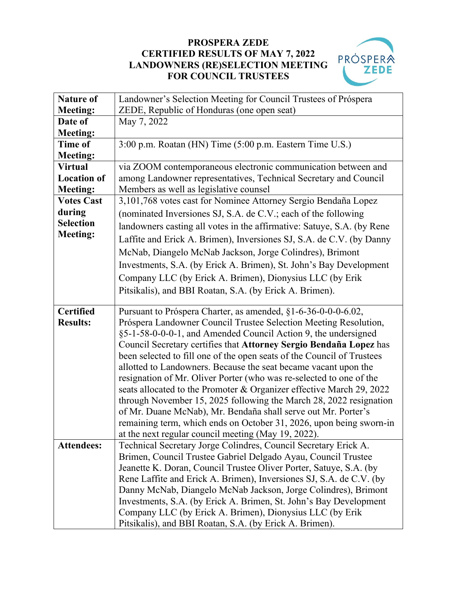## **PROSPERA ZEDE CERTIFIED RESULTS OF MAY 7, 2022 LANDOWNERS (RE)SELECTION MEETING FOR COUNCIL TRUSTEES**



| <b>Nature of</b>   | Landowner's Selection Meeting for Council Trustees of Próspera         |
|--------------------|------------------------------------------------------------------------|
| <b>Meeting:</b>    | ZEDE, Republic of Honduras (one open seat)                             |
| Date of            | May 7, 2022                                                            |
| <b>Meeting:</b>    |                                                                        |
| <b>Time of</b>     | 3:00 p.m. Roatan (HN) Time (5:00 p.m. Eastern Time U.S.)               |
| <b>Meeting:</b>    |                                                                        |
| <b>Virtual</b>     | via ZOOM contemporaneous electronic communication between and          |
| <b>Location of</b> | among Landowner representatives, Technical Secretary and Council       |
| <b>Meeting:</b>    | Members as well as legislative counsel                                 |
| <b>Votes Cast</b>  | 3,101,768 votes cast for Nominee Attorney Sergio Bendaña Lopez         |
| during             | (nominated Inversiones SJ, S.A. de C.V.; each of the following         |
| <b>Selection</b>   | landowners casting all votes in the affirmative: Satuye, S.A. (by Rene |
| <b>Meeting:</b>    | Laffite and Erick A. Brimen), Inversiones SJ, S.A. de C.V. (by Danny   |
|                    |                                                                        |
|                    | McNab, Diangelo McNab Jackson, Jorge Colindres), Brimont               |
|                    | Investments, S.A. (by Erick A. Brimen), St. John's Bay Development     |
|                    | Company LLC (by Erick A. Brimen), Dionysius LLC (by Erik               |
|                    | Pitsikalis), and BBI Roatan, S.A. (by Erick A. Brimen).                |
|                    |                                                                        |
| <b>Certified</b>   | Pursuant to Próspera Charter, as amended, §1-6-36-0-0-0-6.02,          |
| <b>Results:</b>    | Próspera Landowner Council Trustee Selection Meeting Resolution,       |
|                    | §5-1-58-0-0-0-1, and Amended Council Action 9, the undersigned         |
|                    | Council Secretary certifies that Attorney Sergio Bendaña Lopez has     |
|                    | been selected to fill one of the open seats of the Council of Trustees |
|                    | allotted to Landowners. Because the seat became vacant upon the        |
|                    | resignation of Mr. Oliver Porter (who was re-selected to one of the    |
|                    | seats allocated to the Promoter & Organizer effective March 29, 2022   |
|                    | through November 15, 2025 following the March 28, 2022 resignation     |
|                    | of Mr. Duane McNab), Mr. Bendaña shall serve out Mr. Porter's          |
|                    | remaining term, which ends on October 31, 2026, upon being sworn-in    |
| <b>Attendees:</b>  | at the next regular council meeting (May 19, 2022).                    |
|                    | Technical Secretary Jorge Colindres, Council Secretary Erick A.        |
|                    | Brimen, Council Trustee Gabriel Delgado Ayau, Council Trustee          |
|                    | Jeanette K. Doran, Council Trustee Oliver Porter, Satuye, S.A. (by     |
|                    | Rene Laffite and Erick A. Brimen), Inversiones SJ, S.A. de C.V. (by    |
|                    | Danny McNab, Diangelo McNab Jackson, Jorge Colindres), Brimont         |
|                    | Investments, S.A. (by Erick A. Brimen, St. John's Bay Development      |
|                    | Company LLC (by Erick A. Brimen), Dionysius LLC (by Erik               |
|                    | Pitsikalis), and BBI Roatan, S.A. (by Erick A. Brimen).                |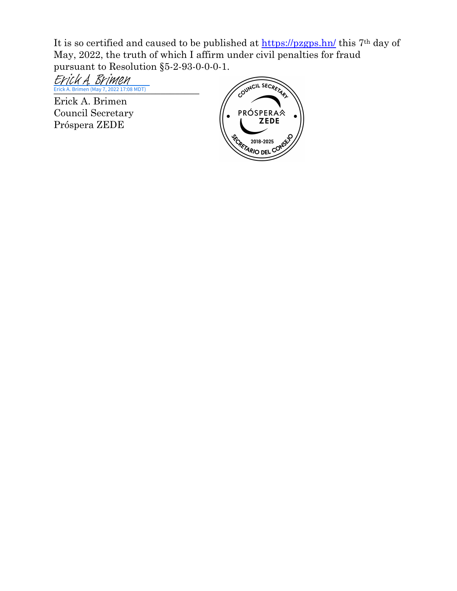It is so certified and caused to be published at<https://pzgps.hn/> this 7th day of May, 2022, the truth of which I affirm under civil penalties for fraud pursuant to Resolution §5-2-93-0-0-0-1.

Erick A. Brimen (May 7, 2022 17:08 MDT) Erick A. Brimen

Erick A. Brimen Council Secretary Próspera ZEDE

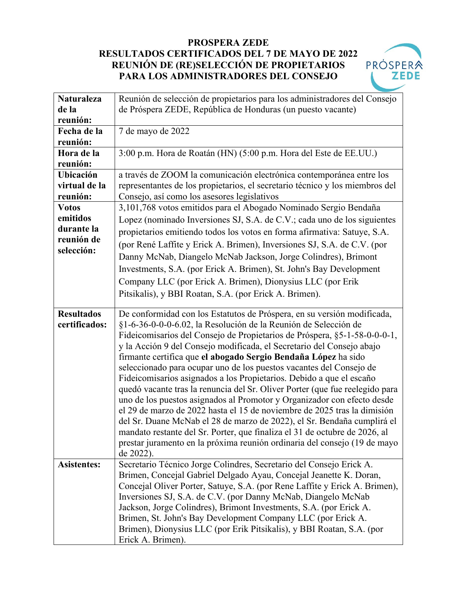## **PROSPERA ZEDE RESULTADOS CERTIFICADOS DEL 7 DE MAYO DE 2022 REUNIÓN DE (RE)SELECCIÓN DE PROPIETARIOS PARA LOS ADMINISTRADORES DEL CONSEJO**



| <b>Naturaleza</b>  | Reunión de selección de propietarios para los administradores del Consejo    |
|--------------------|------------------------------------------------------------------------------|
| de la              | de Próspera ZEDE, República de Honduras (un puesto vacante)                  |
| reunión:           |                                                                              |
| Fecha de la        | 7 de mayo de 2022                                                            |
| reunión:           |                                                                              |
| Hora de la         | 3:00 p.m. Hora de Roatán (HN) (5:00 p.m. Hora del Este de EE.UU.)            |
| reunión:           |                                                                              |
| <b>Ubicación</b>   | a través de ZOOM la comunicación electrónica contemporánea entre los         |
| virtual de la      | representantes de los propietarios, el secretario técnico y los miembros del |
| reunión:           | Consejo, así como los asesores legislativos                                  |
| <b>Votos</b>       | 3,101,768 votos emitidos para el Abogado Nominado Sergio Bendaña             |
| emitidos           | Lopez (nominado Inversiones SJ, S.A. de C.V.; cada uno de los siguientes     |
| durante la         | propietarios emitiendo todos los votos en forma afirmativa: Satuye, S.A.     |
| reunión de         |                                                                              |
| selección:         | (por René Laffite y Erick A. Brimen), Inversiones SJ, S.A. de C.V. (por      |
|                    | Danny McNab, Diangelo McNab Jackson, Jorge Colindres), Brimont               |
|                    | Investments, S.A. (por Erick A. Brimen), St. John's Bay Development          |
|                    | Company LLC (por Erick A. Brimen), Dionysius LLC (por Erik                   |
|                    | Pitsikalis), y BBI Roatan, S.A. (por Erick A. Brimen).                       |
|                    |                                                                              |
| <b>Resultados</b>  | De conformidad con los Estatutos de Próspera, en su versión modificada,      |
| certificados:      | §1-6-36-0-0-0-6.02, la Resolución de la Reunión de Selección de              |
|                    | Fideicomisarios del Consejo de Propietarios de Próspera, §5-1-58-0-0-0-1,    |
|                    | y la Acción 9 del Consejo modificada, el Secretario del Consejo abajo        |
|                    | firmante certifica que el abogado Sergio Bendaña López ha sido               |
|                    | seleccionado para ocupar uno de los puestos vacantes del Consejo de          |
|                    | Fideicomisarios asignados a los Propietarios. Debido a que el escaño         |
|                    | quedó vacante tras la renuncia del Sr. Oliver Porter (que fue reelegido para |
|                    | uno de los puestos asignados al Promotor y Organizador con efecto desde      |
|                    | el 29 de marzo de 2022 hasta el 15 de noviembre de 2025 tras la dimisión     |
|                    | del Sr. Duane McNab el 28 de marzo de 2022), el Sr. Bendaña cumplirá el      |
|                    | mandato restante del Sr. Porter, que finaliza el 31 de octubre de 2026, al   |
|                    | prestar juramento en la próxima reunión ordinaria del consejo (19 de mayo    |
|                    | de 2022).                                                                    |
| <b>Asistentes:</b> | Secretario Técnico Jorge Colindres, Secretario del Consejo Erick A.          |
|                    | Brimen, Concejal Gabriel Delgado Ayau, Concejal Jeanette K. Doran,           |
|                    | Concejal Oliver Porter, Satuye, S.A. (por Rene Laffite y Erick A. Brimen),   |
|                    | Inversiones SJ, S.A. de C.V. (por Danny McNab, Diangelo McNab)               |
|                    | Jackson, Jorge Colindres), Brimont Investments, S.A. (por Erick A.           |
|                    | Brimen, St. John's Bay Development Company LLC (por Erick A.                 |
|                    | Brimen), Dionysius LLC (por Erik Pitsikalis), y BBI Roatan, S.A. (por        |
|                    | Erick A. Brimen).                                                            |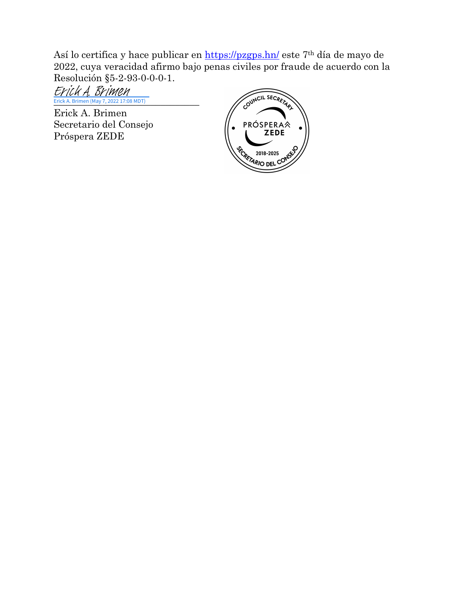Así lo certifica y hace publicar en<https://pzgps.hn/> este 7<sup>th</sup> día de mayo de 2022, cuya veracidad afirmo bajo penas civiles por fraude de acuerdo con la Resolución §5-2-93-0-0-0-1.

Erick A. Brimen (May 7, 2022 17:08 MDT) Erick A. Brimen

Erick A. Brimen Secretario del Consejo Próspera ZEDE